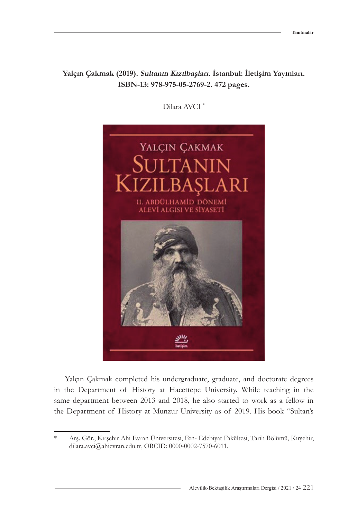## **Yalçın Çakmak (2019). Sultanın Kızılbaşları. İstanbul: İletişim Yayınları. ISBN-13: 978-975-05-2769-2. 472 pages.**

Dilara AVCI \*



Yalçın Çakmak completed his undergraduate, graduate, and doctorate degrees in the Department of History at Hacettepe University. While teaching in the same department between 2013 and 2018, he also started to work as a fellow in the Department of History at Munzur University as of 2019. His book "Sultan's

<sup>\*</sup> Arş. Gör., Kırşehir Ahi Evran Üniversitesi, Fen- Edebiyat Fakültesi, Tarih Bölümü, Kırşehir, [dilara.avci@ahievran.edu.tr,](mailto:dilara.avci%40ahievran.edu.tr?subject=) ORCID: [0000-0002-7570-6011](https://orcid.org/0000-0002-7570-6011).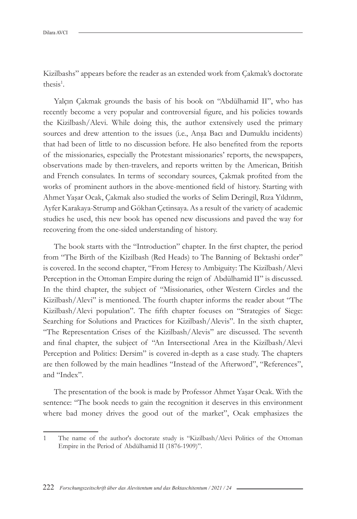Kizilbashs" appears before the reader as an extended work from Çakmak's doctorate thesis<sup>1</sup>.

Yalçın Çakmak grounds the basis of his book on "Abdülhamid II", who has recently become a very popular and controversial figure, and his policies towards the Kizilbash/Alevi. While doing this, the author extensively used the primary sources and drew attention to the issues (i.e., Anşa Bacı and Dumuklu incidents) that had been of little to no discussion before. He also benefited from the reports of the missionaries, especially the Protestant missionaries' reports, the newspapers, observations made by then-travelers, and reports written by the American, British and French consulates. In terms of secondary sources, Çakmak profited from the works of prominent authors in the above-mentioned field of history. Starting with Ahmet Yaşar Ocak, Çakmak also studied the works of Selim Deringil, Rıza Yıldırım, Ayfer Karakaya-Strump and Gökhan Çetinsaya. As a result of the variety of academic studies he used, this new book has opened new discussions and paved the way for recovering from the one-sided understanding of history.

The book starts with the "Introduction" chapter. In the first chapter, the period from "The Birth of the Kizilbash (Red Heads) to The Banning of Bektashi order" is covered. In the second chapter, "From Heresy to Ambiguity: The Kizilbash/Alevi Perception in the Ottoman Empire during the reign of Abdülhamid II" is discussed. In the third chapter, the subject of "Missionaries, other Western Circles and the Kizilbash/Alevi" is mentioned. The fourth chapter informs the reader about "The Kizilbash/Alevi population". The fifth chapter focuses on "Strategies of Siege: Searching for Solutions and Practices for Kizilbash/Alevis". In the sixth chapter, "The Representation Crises of the Kizilbash/Alevis" are discussed. The seventh and final chapter, the subject of "An Intersectional Area in the Kizilbash/Alevi Perception and Politics: Dersim" is covered in-depth as a case study. The chapters are then followed by the main headlines "Instead of the Afterword", "References", and "Index".

The presentation of the book is made by Professor Ahmet Yaşar Ocak. With the sentence: "The book needs to gain the recognition it deserves in this environment where bad money drives the good out of the market", Ocak emphasizes the

<sup>1</sup> The name of the author's doctorate study is "Kizilbash/Alevi Politics of the Ottoman Empire in the Period of Abdülhamid II (1876-1909)".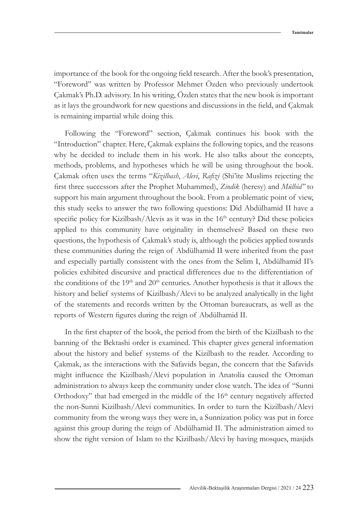importance of the book for the ongoing field research. After the book's presentation, "Foreword" was written by Professor Mehmet Özden who previously undertook Çakmak's Ph.D. advisory. In his writing, Özden states that the new book is important as it lays the groundwork for new questions and discussions in the field, and Çakmak is remaining impartial while doing this.

Following the "Foreword" section, Çakmak continues his book with the "Introduction" chapter. Here, Çakmak explains the following topics, and the reasons why he decided to include them in his work. He also talks about the concepts, methods, problems, and hypotheses which he will be using throughout the book. Çakmak often uses the terms "*Kizilbash*, *Alevi*, *Rafizi* (Shi'ite Muslims rejecting the first three successors after the Prophet Muhammed), *Zindik* (heresy) and *Mülhid"* to support his main argument throughout the book. From a problematic point of view, this study seeks to answer the two following questions: Did Abdülhamid II have a specific policy for Kizilbash/Alevis as it was in the  $16<sup>th</sup>$  century? Did these policies applied to this community have originality in themselves? Based on these two questions, the hypothesis of Çakmak's study is, although the policies applied towards these communities during the reign of Abdülhamid II were inherited from the past and especially partially consistent with the ones from the Selim I, Abdülhamid II's policies exhibited discursive and practical differences due to the differentiation of the conditions of the  $19<sup>th</sup>$  and  $20<sup>th</sup>$  centuries. Another hypothesis is that it allows the history and belief systems of Kizilbash/Alevi to be analyzed analytically in the light of the statements and records written by the Ottoman bureaucrats, as well as the reports of Western figures during the reign of Abdülhamid II.

In the first chapter of the book, the period from the birth of the Kizilbash to the banning of the Bektashi order is examined. This chapter gives general information about the history and belief systems of the Kizilbash to the reader. According to Çakmak, as the interactions with the Safavids began, the concern that the Safavids might influence the Kizilbash/Alevi population in Anatolia caused the Ottoman administration to always keep the community under close watch. The idea of "Sunni Orthodoxy" that had emerged in the middle of the 16<sup>th</sup> century negatively affected the non-Sunni Kizilbash/Alevi communities. In order to turn the Kizilbash/Alevi community from the wrong ways they were in, a Sunnization policy was put in force against this group during the reign of Abdülhamid II. The administration aimed to show the right version of Islam to the Kizilbash/Alevi by having mosques, masjids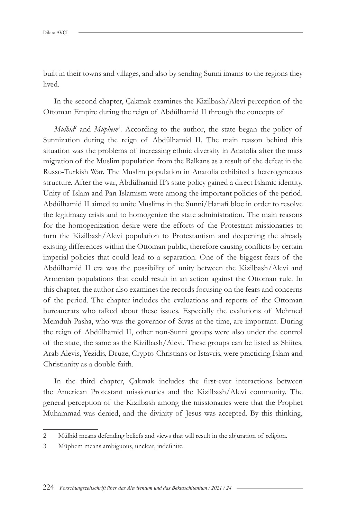built in their towns and villages, and also by sending Sunni imams to the regions they lived.

In the second chapter, Çakmak examines the Kizilbash/Alevi perception of the Ottoman Empire during the reign of Abdülhamid II through the concepts of

*Mülhid*<sup>2</sup> and *Müphem*<sup>3</sup>. According to the author, the state began the policy of Sunnization during the reign of Abdülhamid II. The main reason behind this situation was the problems of increasing ethnic diversity in Anatolia after the mass migration of the Muslim population from the Balkans as a result of the defeat in the Russo-Turkish War. The Muslim population in Anatolia exhibited a heterogeneous structure. After the war, Abdülhamid II's state policy gained a direct Islamic identity. Unity of Islam and Pan-Islamism were among the important policies of the period. Abdülhamid II aimed to unite Muslims in the Sunni/Hanafi bloc in order to resolve the legitimacy crisis and to homogenize the state administration. The main reasons for the homogenization desire were the efforts of the Protestant missionaries to turn the Kizilbash/Alevi population to Protestantism and deepening the already existing differences within the Ottoman public, therefore causing conflicts by certain imperial policies that could lead to a separation. One of the biggest fears of the Abdülhamid II era was the possibility of unity between the Kizilbash/Alevi and Armenian populations that could result in an action against the Ottoman rule. In this chapter, the author also examines the records focusing on the fears and concerns of the period. The chapter includes the evaluations and reports of the Ottoman bureaucrats who talked about these issues. Especially the evalutions of Mehmed Memduh Pasha, who was the governor of Sivas at the time, are important. During the reign of Abdülhamid II, other non-Sunni groups were also under the control of the state, the same as the Kizilbash/Alevi. These groups can be listed as Shiites, Arab Alevis, Yezidis, Druze, Crypto-Christians or Istavris, were practicing Islam and Christianity as a double faith.

In the third chapter, Çakmak includes the first-ever interactions between the American Protestant missionaries and the Kizilbash/Alevi community. The general perception of the Kizilbash among the missionaries were that the Prophet Muhammad was denied, and the divinity of Jesus was accepted. By this thinking,

<sup>2</sup> Mülhid means defending beliefs and views that will result in the abjuration of religion.

<sup>3</sup> Müphem means ambiguous, unclear, indefinite.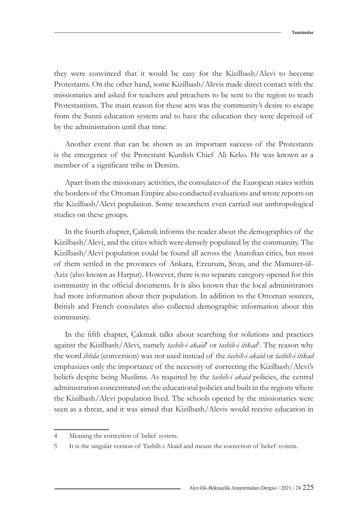they were convinced that it would be easy for the Kizilbash/Alevi to become Protestants. On the other hand, some Kizilbash/Alevis made direct contact with the missionaries and asked for teachers and preachers to be sent to the region to teach Protestantism. The main reason for these acts was the community's desire to escape from the Sunni education system and to have the education they were deprived of by the administration until that time.

Another event that can be shown as an important success of the Protestants is the emergence of the Protestant Kurdish Chief Ali Keko. He was known as a member of a significant tribe in Dersim.

Apart from the missionary activities, the consulates of the European states within the borders of the Ottoman Empire also conducted evaluations and wrote reports on the Kizilbash/Alevi population. Some researchers even carried out anthropological studies on these groups.

In the fourth chapter, Çakmak informs the reader about the demographics of the Kizilbash/Alevi, and the cities which were densely populated by the community. The Kizilbash/Alevi population could be found all across the Anatolian cities, but most of them settled in the provinces of Ankara, Erzurum, Sivas, and the Mamuret-ül-Aziz (also known as Harput). However, there is no separate category opened for this community in the official documents. It is also known that the local administrators had more information about their population. In addition to the Ottoman sources, British and French consulates also collected demographic information about this community.

In the fifth chapter, Çakmak talks about searching for solutions and practices against the Kizilbash/Alevi, namely *tashih-i akaid*<sup>4</sup> or *tashih-i itikad*<sup>5</sup>. The reason why the word *ihtida* (conversion) was not used instead of the *tashih-i akaid* or *tashih-i itikad* emphasizes only the importance of the necessity of correcting the Kizilbash/Alevi's beliefs despite being Muslims. As required by the *tashih-i akaid* policies, the central administration concentrated on the educational policies and built in the regions where the Kizilbash/Alevi population lived. The schools opened by the missionaries were seen as a threat, and it was aimed that Kizilbash/Alevis would receive education in

<sup>4</sup> Meaning the correction of belief system.

<sup>5</sup> It is the singular version of Tashih-i Akaid and means the correction of belief system.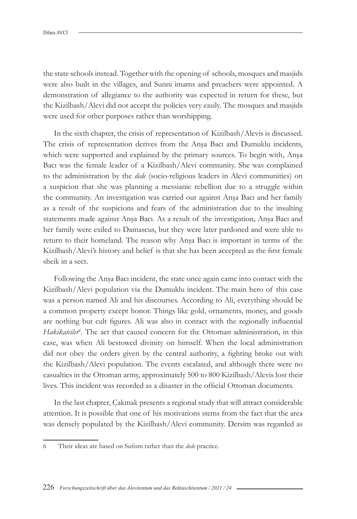the state schools instead. Together with the opening of schools, mosques and masjids were also built in the villages, and Sunni imams and preachers were appointed. A demonstration of allegiance to the authority was expected in return for these, but the Kizilbash/Alevi did not accept the policies very easily. The mosques and masjids were used for other purposes rather than worshipping.

In the sixth chapter, the crisis of representation of Kizilbash/Alevis is discussed. The crisis of representation derives from the Anşa Bacı and Dumuklu incidents, which were supported and explained by the primary sources. To begin with, Anşa Bacı was the female leader of a Kizilbash/Alevi community. She was complained to the administration by the *dede* (socio-religious leaders in Alevi communities) on a suspicion that she was planning a messianic rebellion due to a struggle within the community. An investigation was carried out against Anşa Bacı and her family as a result of the suspicions and fears of the administration due to the insulting statements made against Anşa Bacı. As a result of the investigation, Anşa Bacı and her family were exiled to Damascus, but they were later pardoned and were able to return to their homeland. The reason why Anşa Bacı is important in terms of the Kizilbash/Alevi's history and belief is that she has been accepted as the first female sheik in a sect.

Following the Anşa Bacı incident, the state once again came into contact with the Kizilbash/Alevi population via the Dumuklu incident. The main hero of this case was a person named Ali and his discourses. According to Ali, everything should be a common property except honor. Things like gold, ornaments, money, and goods are nothing but cult figures. Ali was also in contact with the regionally influential Hakikatciler<sup>6</sup>. The act that caused concern for the Ottoman administration, in this case, was when Ali bestowed divinity on himself. When the local administration did not obey the orders given by the central authority, a fighting broke out with the Kizilbash/Alevi population. The events escalated, and although there were no casualties in the Ottoman army, approximately 500 to 800 Kizilbash/Alevis lost their lives. This incident was recorded as a disaster in the official Ottoman documents.

In the last chapter, Çakmak presents a regional study that will attract considerable attention. It is possible that one of his motivations stems from the fact that the area was densely populated by the Kizilbash/Alevi community. Dersim was regarded as

<sup>6</sup> Their ideas are based on Sufism rather than the *dede* practice.